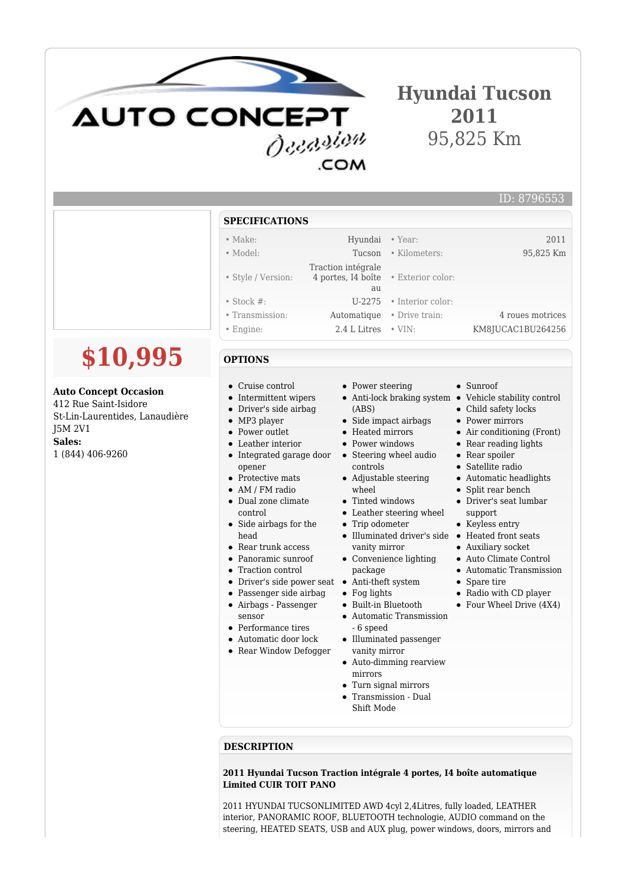

# **Hyundai Tucson 2011** 95,825 Km

ID: 8796553

#### **SPECIFICATIONS**

### • Make: Hyundai • Year: 2011

- Model: Tucson Kilometers: 95,825 Km
- Style / Version: Traction intégrale 4 portes, I4 boîte
- 
- 
- 

#### **OPTIONS**

- Cruise control
- Intermittent wipers
- Driver's side airbag
- MP3 player
- Power outlet
- Leather interior
- $\bullet$ opener
- Protective mats
- AM / FM radio
- Dual zone climate control
- Side airbags for the head
- Rear trunk access
- Panoramic sunroof
- Traction control
- Driver's side power seat Anti-theft system
- Passenger side airbag
- Airbags Passenger sensor
- Performance tires
- Automatic door lock
- Rear Window Defogger
- 

• Power steering

 $211$ 

- Anti-lock braking system Vehicle stability control (ABS)
- Side impact airbags
- Heated mirrors
- Power windows
- Integrated garage door Steering wheel audio controls
	- Adjustable steering wheel
	- Tinted windows
	- Leather steering wheel
	- Trip odometer
	- Illuminated driver's side Heated front seats vanity mirror
	- Convenience lighting package
	-
	- Fog lights
	- Built-in Bluetooth
	- Automatic Transmission - 6 speed
	- Illuminated passenger vanity mirror
	- Auto-dimming rearview mirrors
	- Turn signal mirrors
	- Transmission Dual Shift Mode

#### **DESCRIPTION**

#### **2011 Hyundai Tucson Traction intégrale 4 portes, I4 boîte automatique Limited CUIR TOIT PANO**

2011 HYUNDAI TUCSONLIMITED AWD 4cyl 2,4Litres, fully loaded, LEATHER interior, PANORAMIC ROOF, BLUETOOTH technologie, AUDIO command on the steering, HEATED SEATS, USB and AUX plug, power windows, doors, mirrors and

**\$10,995**

#### **Auto Concept Occasion**

412 Rue Saint-Isidore St-Lin-Laurentides, Lanaudière J5M 2V1 **Sales:** 1 (844) 406-9260

- Exterior color: • Stock #: U-2275 • Interior color: • Transmission: Automatique • Drive train: 4 roues motrices
- Engine: 2.4 L Litres VIN: KM8JUCAC1BU264256
	- Sunroof

- Child safety locks
- Power mirrors

## • Air conditioning (Front)

- Rear reading lights
- Rear spoiler
- Satellite radio
- Automatic headlights
- Split rear bench
- Driver's seat lumbar support
- Keyless entry
- 
- Auxiliary socket
- Auto Climate Control
- Automatic Transmission
- Spare tire
- Radio with CD player
- Four Wheel Drive (4X4)